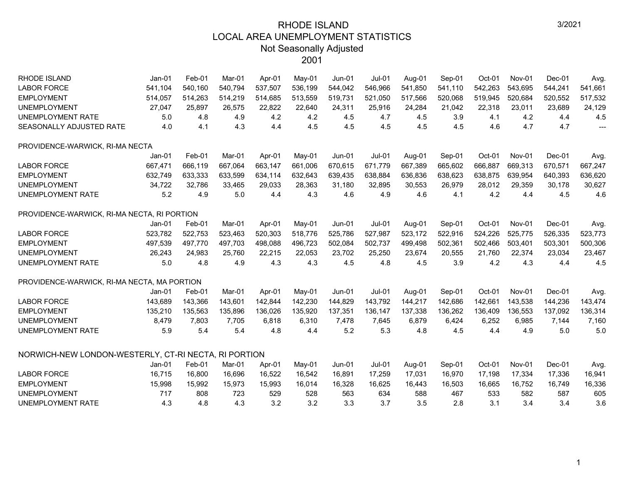| <b>RHODE ISLAND</b>                                  | $Jan-01$ | Feb-01  | Mar-01  | Apr-01  | May-01  | <b>Jun-01</b> | <b>Jul-01</b> | Aug-01  | Sep-01  | Oct-01  | Nov-01  | $Dec-01$ | Avg.           |
|------------------------------------------------------|----------|---------|---------|---------|---------|---------------|---------------|---------|---------|---------|---------|----------|----------------|
| <b>LABOR FORCE</b>                                   | 541,104  | 540,160 | 540,794 | 537,507 | 536,199 | 544,042       | 546,966       | 541,850 | 541,110 | 542,263 | 543,695 | 544,241  | 541,661        |
| <b>EMPLOYMENT</b>                                    | 514,057  | 514,263 | 514,219 | 514,685 | 513,559 | 519,731       | 521,050       | 517,566 | 520,068 | 519,945 | 520,684 | 520,552  | 517,532        |
| <b>UNEMPLOYMENT</b>                                  | 27,047   | 25,897  | 26,575  | 22,822  | 22,640  | 24,311        | 25,916        | 24,284  | 21,042  | 22,318  | 23,011  | 23,689   | 24,129         |
| UNEMPLOYMENT RATE                                    | 5.0      | 4.8     | 4.9     | 4.2     | 4.2     | 4.5           | 4.7           | 4.5     | 3.9     | 4.1     | 4.2     | 4.4      | 4.5            |
| SEASONALLY ADJUSTED RATE                             | 4.0      | 4.1     | 4.3     | 4.4     | 4.5     | 4.5           | 4.5           | 4.5     | 4.5     | 4.6     | 4.7     | 4.7      | $\overline{a}$ |
| PROVIDENCE-WARWICK, RI-MA NECTA                      |          |         |         |         |         |               |               |         |         |         |         |          |                |
|                                                      | Jan-01   | Feb-01  | Mar-01  | Apr-01  | May-01  | $Jun-01$      | $Jul-01$      | Aug-01  | Sep-01  | Oct-01  | Nov-01  | Dec-01   | Avg.           |
| <b>LABOR FORCE</b>                                   | 667,471  | 666,119 | 667,064 | 663,147 | 661,006 | 670,615       | 671,779       | 667,389 | 665,602 | 666,887 | 669,313 | 670,571  | 667,247        |
| <b>EMPLOYMENT</b>                                    | 632,749  | 633,333 | 633,599 | 634,114 | 632,643 | 639,435       | 638,884       | 636,836 | 638,623 | 638,875 | 639,954 | 640,393  | 636,620        |
| <b>UNEMPLOYMENT</b>                                  | 34,722   | 32,786  | 33,465  | 29,033  | 28,363  | 31,180        | 32,895        | 30,553  | 26,979  | 28,012  | 29,359  | 30,178   | 30,627         |
| UNEMPLOYMENT RATE                                    | 5.2      | 4.9     | 5.0     | 4.4     | 4.3     | 4.6           | 4.9           | 4.6     | 4.1     | 4.2     | 4.4     | 4.5      | 4.6            |
| PROVIDENCE-WARWICK, RI-MA NECTA, RI PORTION          |          |         |         |         |         |               |               |         |         |         |         |          |                |
|                                                      | $Jan-01$ | Feb-01  | Mar-01  | Apr-01  | May-01  | $Jun-01$      | $Jul-01$      | Aug-01  | Sep-01  | Oct-01  | Nov-01  | $Dec-01$ | Avg.           |
| <b>LABOR FORCE</b>                                   | 523,782  | 522,753 | 523,463 | 520,303 | 518,776 | 525,786       | 527,987       | 523,172 | 522,916 | 524,226 | 525,775 | 526,335  | 523,773        |
| <b>EMPLOYMENT</b>                                    | 497,539  | 497,770 | 497,703 | 498,088 | 496,723 | 502,084       | 502,737       | 499,498 | 502,361 | 502,466 | 503,401 | 503,301  | 500,306        |
| <b>UNEMPLOYMENT</b>                                  | 26,243   | 24,983  | 25,760  | 22,215  | 22,053  | 23,702        | 25,250        | 23,674  | 20,555  | 21,760  | 22,374  | 23,034   | 23,467         |
| <b>UNEMPLOYMENT RATE</b>                             | 5.0      | 4.8     | 4.9     | 4.3     | 4.3     | 4.5           | 4.8           | 4.5     | 3.9     | 4.2     | 4.3     | 4.4      | 4.5            |
| PROVIDENCE-WARWICK, RI-MA NECTA, MA PORTION          |          |         |         |         |         |               |               |         |         |         |         |          |                |
|                                                      | $Jan-01$ | Feb-01  | Mar-01  | Apr-01  | May-01  | <b>Jun-01</b> | $Jul-01$      | Aug-01  | Sep-01  | Oct-01  | Nov-01  | $Dec-01$ | Avg.           |
| <b>LABOR FORCE</b>                                   | 143,689  | 143,366 | 143,601 | 142,844 | 142,230 | 144,829       | 143,792       | 144,217 | 142,686 | 142,661 | 143,538 | 144,236  | 143,474        |
| <b>EMPLOYMENT</b>                                    | 135,210  | 135,563 | 135,896 | 136,026 | 135,920 | 137,351       | 136,147       | 137,338 | 136,262 | 136,409 | 136,553 | 137,092  | 136,314        |
| <b>UNEMPLOYMENT</b>                                  | 8,479    | 7,803   | 7,705   | 6,818   | 6,310   | 7,478         | 7,645         | 6,879   | 6,424   | 6,252   | 6,985   | 7,144    | 7,160          |
| UNEMPLOYMENT RATE                                    | 5.9      | 5.4     | 5.4     | 4.8     | 4.4     | 5.2           | 5.3           | 4.8     | 4.5     | 4.4     | 4.9     | 5.0      | 5.0            |
| NORWICH-NEW LONDON-WESTERLY, CT-RI NECTA, RI PORTION |          |         |         |         |         |               |               |         |         |         |         |          |                |
|                                                      | $Jan-01$ | Feb-01  | Mar-01  | Apr-01  | May-01  | <b>Jun-01</b> | $Jul-01$      | Aug-01  | Sep-01  | Oct-01  | Nov-01  | Dec-01   | Avg.           |
| <b>LABOR FORCE</b>                                   | 16,715   | 16,800  | 16,696  | 16,522  | 16,542  | 16,891        | 17,259        | 17,031  | 16,970  | 17,198  | 17,334  | 17,336   | 16,941         |
| <b>EMPLOYMENT</b>                                    | 15,998   | 15,992  | 15,973  | 15,993  | 16,014  | 16,328        | 16,625        | 16,443  | 16,503  | 16,665  | 16,752  | 16,749   | 16,336         |
| <b>UNEMPLOYMENT</b>                                  | 717      | 808     | 723     | 529     | 528     | 563           | 634           | 588     | 467     | 533     | 582     | 587      | 605            |
| <b>UNEMPLOYMENT RATE</b>                             | 4.3      | 4.8     | 4.3     | 3.2     | 3.2     | 3.3           | 3.7           | 3.5     | 2.8     | 3.1     | 3.4     | 3.4      | 3.6            |
|                                                      |          |         |         |         |         |               |               |         |         |         |         |          |                |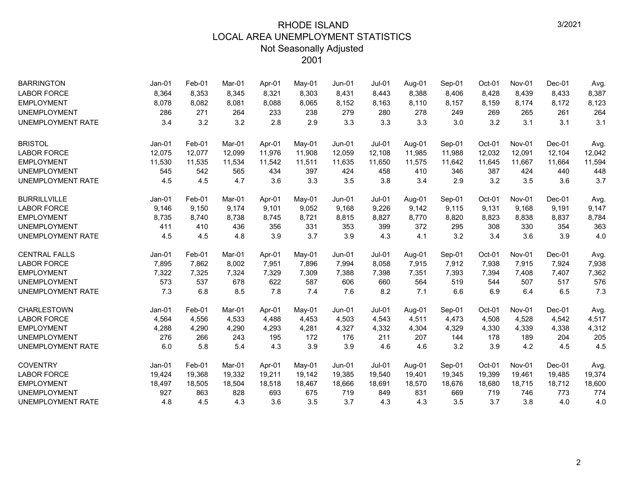| <b>BARRINGTON</b>        | Jan-01   | Feb-01 | Mar-01 | Apr-01 | May-01 | Jun-01   | Jul-01        | Aug-01 | Sep-01 | Oct-01 | Nov-01        | $Dec-01$ | Avg.   |
|--------------------------|----------|--------|--------|--------|--------|----------|---------------|--------|--------|--------|---------------|----------|--------|
| <b>LABOR FORCE</b>       | 8,364    | 8,353  | 8,345  | 8,321  | 8,303  | 8,431    | 8,443         | 8,388  | 8,406  | 8,428  | 8,439         | 8,433    | 8,387  |
| <b>EMPLOYMENT</b>        | 8,078    | 8,082  | 8,081  | 8,088  | 8,065  | 8,152    | 8,163         | 8,110  | 8,157  | 8,159  | 8,174         | 8,172    | 8,123  |
| <b>UNEMPLOYMENT</b>      | 286      | 271    | 264    | 233    | 238    | 279      | 280           | 278    | 249    | 269    | 265           | 261      | 264    |
| <b>UNEMPLOYMENT RATE</b> | 3.4      | 3.2    | 3.2    | 2.8    | 2.9    | 3.3      | 3.3           | 3.3    | 3.0    | 3.2    | 3.1           | 3.1      | 3.1    |
| <b>BRISTOL</b>           | $Jan-01$ | Feb-01 | Mar-01 | Apr-01 | May-01 | $Jun-01$ | $Jul-01$      | Aug-01 | Sep-01 | Oct-01 | Nov-01        | $Dec-01$ | Avg.   |
| <b>LABOR FORCE</b>       | 12,075   | 12,077 | 12,099 | 11,976 | 11,908 | 12,059   | 12,108        | 11,985 | 11,988 | 12,032 | 12,091        | 12,104   | 12,042 |
| <b>EMPLOYMENT</b>        | 11,530   | 11,535 | 11,534 | 11,542 | 11,511 | 11,635   | 11,650        | 11,575 | 11,642 | 11,645 | 11,667        | 11,664   | 11,594 |
| <b>UNEMPLOYMENT</b>      | 545      | 542    | 565    | 434    | 397    | 424      | 458           | 410    | 346    | 387    | 424           | 440      | 448    |
| <b>UNEMPLOYMENT RATE</b> | 4.5      | 4.5    | 4.7    | 3.6    | 3.3    | 3.5      | 3.8           | 3.4    | 2.9    | 3.2    | 3.5           | 3.6      | 3.7    |
| <b>BURRILLVILLE</b>      | $Jan-01$ | Feb-01 | Mar-01 | Apr-01 | May-01 | $Jun-01$ | <b>Jul-01</b> | Aug-01 | Sep-01 | Oct-01 | <b>Nov-01</b> | Dec-01   | Avg.   |
| <b>LABOR FORCE</b>       | 9,146    | 9,150  | 9,174  | 9,101  | 9,052  | 9,168    | 9,226         | 9,142  | 9,115  | 9,131  | 9,168         | 9,191    | 9,147  |
| <b>EMPLOYMENT</b>        | 8,735    | 8,740  | 8,738  | 8,745  | 8,721  | 8,815    | 8,827         | 8,770  | 8,820  | 8,823  | 8,838         | 8,837    | 8,784  |
| <b>UNEMPLOYMENT</b>      | 411      | 410    | 436    | 356    | 331    | 353      | 399           | 372    | 295    | 308    | 330           | 354      | 363    |
| <b>UNEMPLOYMENT RATE</b> | 4.5      | 4.5    | 4.8    | 3.9    | 3.7    | 3.9      | 4.3           | 4.1    | 3.2    | 3.4    | 3.6           | 3.9      | 4.0    |
| <b>CENTRAL FALLS</b>     | $Jan-01$ | Feb-01 | Mar-01 | Apr-01 | May-01 | $Jun-01$ | $Jul-01$      | Aug-01 | Sep-01 | Oct-01 | Nov-01        | Dec-01   | Avg.   |
| <b>LABOR FORCE</b>       | 7,895    | 7,862  | 8,002  | 7,951  | 7,896  | 7,994    | 8,058         | 7,915  | 7,912  | 7,938  | 7,915         | 7,924    | 7,938  |
| <b>EMPLOYMENT</b>        | 7,322    | 7,325  | 7,324  | 7,329  | 7,309  | 7,388    | 7,398         | 7,351  | 7,393  | 7,394  | 7,408         | 7,407    | 7,362  |
| <b>UNEMPLOYMENT</b>      | 573      | 537    | 678    | 622    | 587    | 606      | 660           | 564    | 519    | 544    | 507           | 517      | 576    |
| <b>UNEMPLOYMENT RATE</b> | 7.3      | 6.8    | 8.5    | 7.8    | 7.4    | 7.6      | 8.2           | 7.1    | 6.6    | 6.9    | 6.4           | 6.5      | 7.3    |
| <b>CHARLESTOWN</b>       | Jan-01   | Feb-01 | Mar-01 | Apr-01 | May-01 | $Jun-01$ | <b>Jul-01</b> | Aug-01 | Sep-01 | Oct-01 | Nov-01        | $Dec-01$ | Avg.   |
| <b>LABOR FORCE</b>       | 4,564    | 4,556  | 4,533  | 4,488  | 4,453  | 4,503    | 4,543         | 4,511  | 4,473  | 4,508  | 4,528         | 4,542    | 4,517  |
| <b>EMPLOYMENT</b>        | 4,288    | 4,290  | 4,290  | 4,293  | 4,281  | 4,327    | 4,332         | 4,304  | 4,329  | 4,330  | 4,339         | 4,338    | 4,312  |
| <b>UNEMPLOYMENT</b>      | 276      | 266    | 243    | 195    | 172    | 176      | 211           | 207    | 144    | 178    | 189           | 204      | 205    |
| <b>UNEMPLOYMENT RATE</b> | 6.0      | 5.8    | 5.4    | 4.3    | 3.9    | 3.9      | 4.6           | 4.6    | 3.2    | 3.9    | 4.2           | 4.5      | 4.5    |
| <b>COVENTRY</b>          | $Jan-01$ | Feb-01 | Mar-01 | Apr-01 | May-01 | $Jun-01$ | $Jul-01$      | Aug-01 | Sep-01 | Oct-01 | Nov-01        | Dec-01   | Avg.   |
| <b>LABOR FORCE</b>       | 19,424   | 19,368 | 19,332 | 19,211 | 19,142 | 19,385   | 19,540        | 19,401 | 19,345 | 19,399 | 19,461        | 19,485   | 19,374 |
| <b>EMPLOYMENT</b>        | 18,497   | 18,505 | 18,504 | 18,518 | 18,467 | 18,666   | 18,691        | 18,570 | 18,676 | 18,680 | 18,715        | 18,712   | 18,600 |
| <b>UNEMPLOYMENT</b>      | 927      | 863    | 828    | 693    | 675    | 719      | 849           | 831    | 669    | 719    | 746           | 773      | 774    |
| <b>UNEMPLOYMENT RATE</b> | 4.8      | 4.5    | 4.3    | 3.6    | 3.5    | 3.7      | 4.3           | 4.3    | 3.5    | 3.7    | 3.8           | 4.0      | 4.0    |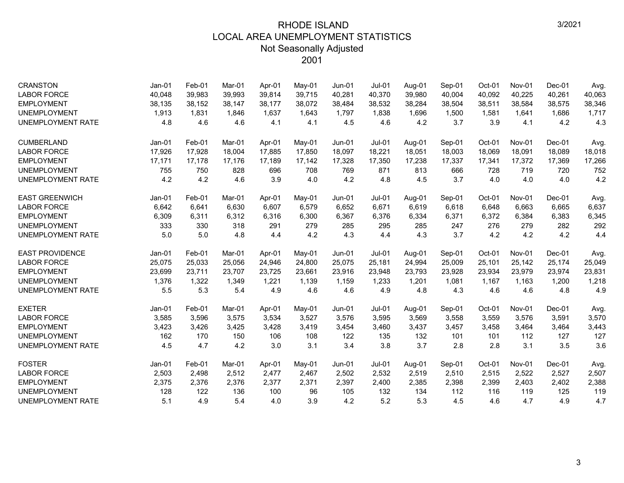| <b>CRANSTON</b><br><b>LABOR FORCE</b> | $Jan-01$<br>40,048 | Feb-01<br>39,983 | Mar-01<br>39,993 | Apr-01<br>39,814 | May-01<br>39,715 | <b>Jun-01</b><br>40,281 | $Jul-01$<br>40,370 | Aug-01<br>39,980 | Sep-01<br>40,004 | Oct-01<br>40,092 | Nov-01<br>40,225 | Dec-01<br>40,261 | Avg.<br>40,063 |
|---------------------------------------|--------------------|------------------|------------------|------------------|------------------|-------------------------|--------------------|------------------|------------------|------------------|------------------|------------------|----------------|
| <b>EMPLOYMENT</b>                     | 38,135             | 38,152           | 38,147           | 38,177           | 38,072           | 38,484                  | 38,532             | 38,284           | 38,504           | 38,511           | 38,584           | 38,575           | 38,346         |
| <b>UNEMPLOYMENT</b>                   | 1,913              | 1,831            | 1,846            | 1,637            | 1,643            | 1,797                   | 1,838              | 1,696            | 1,500            | 1,581            | 1,641            | 1,686            | 1,717          |
| <b>UNEMPLOYMENT RATE</b>              | 4.8                | 4.6              | 4.6              | 4.1              | 4.1              | 4.5                     | 4.6                | 4.2              | 3.7              | 3.9              | 4.1              | 4.2              | 4.3            |
|                                       |                    |                  |                  |                  |                  |                         |                    |                  |                  |                  |                  |                  |                |
| <b>CUMBERLAND</b>                     | Jan-01             | Feb-01           | Mar-01           | Apr-01           | May-01           | $Jun-01$                | $Jul-01$           | Aug-01           | Sep-01           | Oct-01           | Nov-01           | Dec-01           | Avg.           |
| <b>LABOR FORCE</b>                    | 17,926             | 17,928           | 18.004           | 17.885           | 17,850           | 18,097                  | 18,221             | 18,051           | 18,003           | 18,069           | 18,091           | 18,089           | 18,018         |
| <b>EMPLOYMENT</b>                     | 17,171             | 17,178           | 17,176           | 17,189           | 17,142           | 17,328                  | 17,350             | 17,238           | 17,337           | 17,341           | 17,372           | 17,369           | 17,266         |
| <b>UNEMPLOYMENT</b>                   | 755                | 750              | 828              | 696              | 708              | 769                     | 871                | 813              | 666              | 728              | 719              | 720              | 752            |
| <b>UNEMPLOYMENT RATE</b>              | 4.2                | 4.2              | 4.6              | 3.9              | 4.0              | 4.2                     | 4.8                | 4.5              | 3.7              | 4.0              | 4.0              | 4.0              | 4.2            |
| <b>EAST GREENWICH</b>                 | Jan-01             | Feb-01           | Mar-01           | Apr-01           | May-01           | $Jun-01$                | $Jul-01$           | Aug-01           | Sep-01           | Oct-01           | <b>Nov-01</b>    | Dec-01           | Avg.           |
| <b>LABOR FORCE</b>                    | 6,642              | 6,641            | 6.630            | 6.607            | 6,579            | 6,652                   | 6,671              | 6,619            | 6,618            | 6,648            | 6.663            | 6,665            | 6,637          |
| <b>EMPLOYMENT</b>                     | 6,309              | 6,311            | 6,312            | 6,316            | 6,300            | 6,367                   | 6,376              | 6,334            | 6,371            | 6,372            | 6,384            | 6,383            | 6,345          |
| <b>UNEMPLOYMENT</b>                   | 333                | 330              | 318              | 291              | 279              | 285                     | 295                | 285              | 247              | 276              | 279              | 282              | 292            |
| UNEMPLOYMENT RATE                     | 5.0                | 5.0              | 4.8              | 4.4              | 4.2              | 4.3                     | 4.4                | 4.3              | 3.7              | 4.2              | 4.2              | 4.2              | 4.4            |
| <b>EAST PROVIDENCE</b>                | $Jan-01$           | Feb-01           | Mar-01           | Apr-01           | May-01           | $Jun-01$                | $Jul-01$           | Aug-01           | Sep-01           | Oct-01           | Nov-01           | $Dec-01$         | Avg.           |
| <b>LABOR FORCE</b>                    | 25,075             | 25,033           | 25,056           | 24,946           | 24,800           | 25,075                  | 25,181             | 24,994           | 25,009           | 25,101           | 25,142           | 25,174           | 25,049         |
| <b>EMPLOYMENT</b>                     | 23,699             | 23,711           | 23,707           | 23,725           | 23,661           | 23,916                  | 23,948             | 23,793           | 23,928           | 23,934           | 23,979           | 23,974           | 23,831         |
| <b>UNEMPLOYMENT</b>                   | 1,376              | 1,322            | 1,349            | 1,221            | 1,139            | 1,159                   | 1,233              | 1,201            | 1,081            | 1,167            | 1,163            | 1,200            | 1,218          |
| UNEMPLOYMENT RATE                     | 5.5                | 5.3              | 5.4              | 4.9              | 4.6              | 4.6                     | 4.9                | 4.8              | 4.3              | 4.6              | 4.6              | 4.8              | 4.9            |
| <b>EXETER</b>                         | Jan-01             | Feb-01           | Mar-01           | Apr-01           | May-01           | $Jun-01$                | <b>Jul-01</b>      | Aug-01           | Sep-01           | Oct-01           | <b>Nov-01</b>    | $Dec-01$         | Avg.           |
| <b>LABOR FORCE</b>                    | 3,585              | 3,596            | 3,575            | 3,534            | 3,527            | 3,576                   | 3,595              | 3,569            | 3,558            | 3,559            | 3,576            | 3,591            | 3,570          |
| <b>EMPLOYMENT</b>                     | 3,423              | 3,426            | 3,425            | 3,428            | 3,419            | 3,454                   | 3,460              | 3,437            | 3,457            | 3,458            | 3,464            | 3,464            | 3,443          |
| <b>UNEMPLOYMENT</b>                   | 162                | 170              | 150              | 106              | 108              | 122                     | 135                | 132              | 101              | 101              | 112              | 127              | 127            |
| UNEMPLOYMENT RATE                     | 4.5                | 4.7              | 4.2              | 3.0              | 3.1              | 3.4                     | 3.8                | 3.7              | 2.8              | 2.8              | 3.1              | 3.5              | 3.6            |
| <b>FOSTER</b>                         | $Jan-01$           | Feb-01           | Mar-01           | Apr-01           | May-01           | $Jun-01$                | $Jul-01$           | Aug-01           | Sep-01           | Oct-01           | Nov-01           | $Dec-01$         | Avg.           |
| <b>LABOR FORCE</b>                    | 2,503              | 2,498            | 2,512            | 2,477            | 2,467            | 2,502                   | 2,532              | 2,519            | 2,510            | 2,515            | 2,522            | 2,527            | 2,507          |
| <b>EMPLOYMENT</b>                     | 2,375              | 2,376            | 2,376            | 2,377            | 2,371            | 2,397                   | 2,400              | 2,385            | 2,398            | 2,399            | 2,403            | 2,402            | 2,388          |
| <b>UNEMPLOYMENT</b>                   | 128                | 122              | 136              | 100              | 96               | 105                     | 132                | 134              | 112              | 116              | 119              | 125              | 119            |
| <b>UNEMPLOYMENT RATE</b>              | 5.1                | 4.9              | 5.4              | 4.0              | 3.9              | 4.2                     | 5.2                | 5.3              | 4.5              | 4.6              | 4.7              | 4.9              | 4.7            |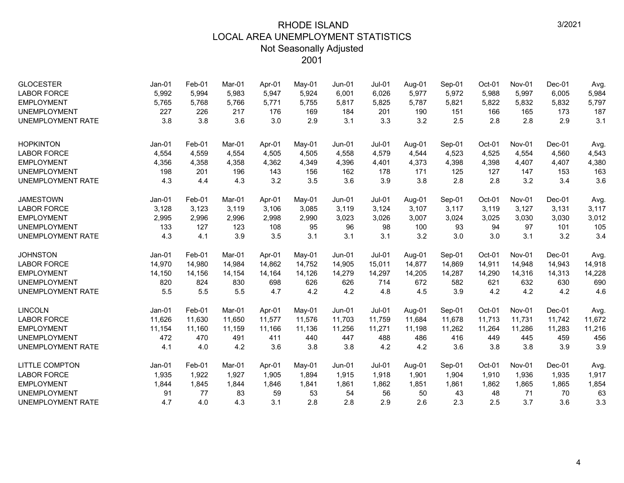| <b>GLOCESTER</b><br><b>LABOR FORCE</b><br><b>EMPLOYMENT</b><br><b>UNEMPLOYMENT</b><br><b>UNEMPLOYMENT RATE</b> | Jan-01<br>5,992<br>5,765<br>227<br>3.8 | Feb-01<br>5,994<br>5,768<br>226<br>3.8 | Mar-01<br>5,983<br>5,766<br>217<br>3.6 | Apr-01<br>5,947<br>5,771<br>176<br>3.0 | $Mav-01$<br>5,924<br>5,755<br>169<br>2.9 | $Jun-01$<br>6,001<br>5,817<br>184<br>3.1 | <b>Jul-01</b><br>6,026<br>5,825<br>201<br>3.3 | Aug-01<br>5,977<br>5,787<br>190<br>3.2 | Sep-01<br>5,972<br>5,821<br>151<br>2.5 | Oct-01<br>5,988<br>5,822<br>166<br>2.8 | Nov-01<br>5,997<br>5,832<br>165<br>2.8 | $Dec-01$<br>6,005<br>5,832<br>173<br>2.9 | Avg.<br>5,984<br>5,797<br>187<br>3.1 |
|----------------------------------------------------------------------------------------------------------------|----------------------------------------|----------------------------------------|----------------------------------------|----------------------------------------|------------------------------------------|------------------------------------------|-----------------------------------------------|----------------------------------------|----------------------------------------|----------------------------------------|----------------------------------------|------------------------------------------|--------------------------------------|
| <b>HOPKINTON</b>                                                                                               | Jan-01                                 | Feb-01                                 | Mar-01                                 | Apr-01                                 | May-01                                   | $Jun-01$                                 | $Jul-01$                                      | Aug-01                                 | Sep-01                                 | Oct-01                                 | Nov-01                                 | Dec-01                                   | Avg.                                 |
| <b>LABOR FORCE</b><br><b>EMPLOYMENT</b>                                                                        | 4,554<br>4,356                         | 4,559<br>4,358                         | 4,554<br>4,358                         | 4,505<br>4,362                         | 4,505<br>4,349                           | 4,558<br>4,396                           | 4,579<br>4,401                                | 4,544<br>4,373                         | 4,523<br>4,398                         | 4,525<br>4,398                         | 4,554<br>4,407                         | 4,560<br>4,407                           | 4,543<br>4,380                       |
| <b>UNEMPLOYMENT</b>                                                                                            | 198                                    | 201                                    | 196                                    | 143                                    | 156                                      | 162                                      | 178                                           | 171                                    | 125                                    | 127                                    | 147                                    | 153                                      | 163                                  |
| <b>UNEMPLOYMENT RATE</b>                                                                                       | 4.3                                    | 4.4                                    | 4.3                                    | 3.2                                    | 3.5                                      | 3.6                                      | 3.9                                           | 3.8                                    | 2.8                                    | 2.8                                    | 3.2                                    | 3.4                                      | 3.6                                  |
| <b>JAMESTOWN</b>                                                                                               | Jan-01                                 | Feb-01                                 | Mar-01                                 | Apr-01                                 | May-01                                   | $Jun-01$                                 | <b>Jul-01</b>                                 | Aug-01                                 | Sep-01                                 | Oct-01                                 | Nov-01                                 | Dec-01                                   | Avg.                                 |
| <b>LABOR FORCE</b>                                                                                             | 3,128                                  | 3,123                                  | 3,119                                  | 3,106                                  | 3,085                                    | 3,119                                    | 3,124                                         | 3,107                                  | 3,117                                  | 3,119                                  | 3,127                                  | 3,131                                    | 3,117                                |
| <b>EMPLOYMENT</b>                                                                                              | 2,995                                  | 2,996                                  | 2,996                                  | 2,998                                  | 2,990                                    | 3,023                                    | 3,026                                         | 3,007                                  | 3,024                                  | 3,025                                  | 3,030                                  | 3,030                                    | 3,012                                |
| <b>UNEMPLOYMENT</b><br><b>UNEMPLOYMENT RATE</b>                                                                | 133<br>4.3                             | 127<br>4.1                             | 123<br>3.9                             | 108<br>3.5                             | 95<br>3.1                                | 96<br>3.1                                | 98<br>3.1                                     | 100<br>3.2                             | 93<br>3.0                              | 94<br>3.0                              | 97<br>3.1                              | 101<br>3.2                               | 105<br>3.4                           |
|                                                                                                                |                                        |                                        |                                        |                                        |                                          |                                          |                                               |                                        |                                        |                                        |                                        |                                          |                                      |
| <b>JOHNSTON</b>                                                                                                | Jan-01                                 | Feb-01                                 | Mar-01                                 | Apr-01                                 | May-01                                   | Jun-01                                   | $Jul-01$                                      | Aug-01                                 | Sep-01                                 | Oct-01                                 | Nov-01                                 | Dec-01                                   | Avg.                                 |
| <b>LABOR FORCE</b>                                                                                             | 14,970                                 | 14,980                                 | 14,984                                 | 14,862                                 | 14,752                                   | 14,905                                   | 15,011                                        | 14,877                                 | 14,869                                 | 14,911                                 | 14,948                                 | 14,943                                   | 14,918                               |
| <b>EMPLOYMENT</b>                                                                                              | 14,150                                 | 14,156                                 | 14,154                                 | 14,164                                 | 14,126                                   | 14,279                                   | 14,297                                        | 14,205                                 | 14,287                                 | 14,290                                 | 14,316                                 | 14,313                                   | 14,228                               |
| <b>UNEMPLOYMENT</b>                                                                                            | 820                                    | 824                                    | 830                                    | 698                                    | 626                                      | 626                                      | 714                                           | 672                                    | 582                                    | 621                                    | 632                                    | 630                                      | 690                                  |
| <b>UNEMPLOYMENT RATE</b>                                                                                       | 5.5                                    | 5.5                                    | 5.5                                    | 4.7                                    | 4.2                                      | 4.2                                      | 4.8                                           | 4.5                                    | 3.9                                    | 4.2                                    | 4.2                                    | 4.2                                      | 4.6                                  |
| <b>LINCOLN</b>                                                                                                 | $Jan-01$                               | Feb-01                                 | Mar-01                                 | Apr-01                                 | May-01                                   | $Jun-01$                                 | $Jul-01$                                      | Aug-01                                 | Sep-01                                 | Oct-01                                 | Nov-01                                 | $Dec-01$                                 | Avg.                                 |
| <b>LABOR FORCE</b>                                                                                             | 11,626                                 | 11,630                                 | 11,650                                 | 11,577                                 | 11,576                                   | 11,703                                   | 11,759                                        | 11,684                                 | 11,678                                 | 11,713                                 | 11,731                                 | 11,742                                   | 11,672                               |
| <b>EMPLOYMENT</b>                                                                                              | 11,154                                 | 11,160                                 | 11,159                                 | 11,166                                 | 11,136                                   | 11,256                                   | 11,271                                        | 11,198                                 | 11,262                                 | 11,264                                 | 11,286                                 | 11,283                                   | 11,216                               |
| <b>UNEMPLOYMENT</b>                                                                                            | 472                                    | 470                                    | 491                                    | 411                                    | 440                                      | 447                                      | 488                                           | 486                                    | 416                                    | 449                                    | 445                                    | 459                                      | 456                                  |
| <b>UNEMPLOYMENT RATE</b>                                                                                       | 4.1                                    | 4.0                                    | 4.2                                    | 3.6                                    | 3.8                                      | 3.8                                      | 4.2                                           | 4.2                                    | 3.6                                    | 3.8                                    | 3.8                                    | 3.9                                      | 3.9                                  |
| <b>LITTLE COMPTON</b>                                                                                          | Jan-01                                 | Feb-01                                 | Mar-01                                 | Apr-01                                 | May-01                                   | $Jun-01$                                 | $Jul-01$                                      | Aug-01                                 | Sep-01                                 | Oct-01                                 | Nov-01                                 | Dec-01                                   | Avg.                                 |
| <b>LABOR FORCE</b>                                                                                             | 1,935                                  | 1,922                                  | 1,927                                  | 1,905                                  | 1,894                                    | 1,915                                    | 1,918                                         | 1,901                                  | 1,904                                  | 1,910                                  | 1,936                                  | 1,935                                    | 1,917                                |
| <b>EMPLOYMENT</b>                                                                                              | 1,844                                  | 1,845                                  | 1,844                                  | 1,846                                  | 1,841                                    | 1,861                                    | 1,862                                         | 1,851                                  | 1,861                                  | 1,862                                  | 1,865                                  | 1,865                                    | 1,854                                |
| <b>UNEMPLOYMENT</b>                                                                                            | 91                                     | 77                                     | 83                                     | 59                                     | 53                                       | 54                                       | 56                                            | 50                                     | 43                                     | 48                                     | 71                                     | 70                                       | 63                                   |
| <b>UNEMPLOYMENT RATE</b>                                                                                       | 4.7                                    | 4.0                                    | 4.3                                    | 3.1                                    | 2.8                                      | 2.8                                      | 2.9                                           | 2.6                                    | 2.3                                    | 2.5                                    | 3.7                                    | 3.6                                      | 3.3                                  |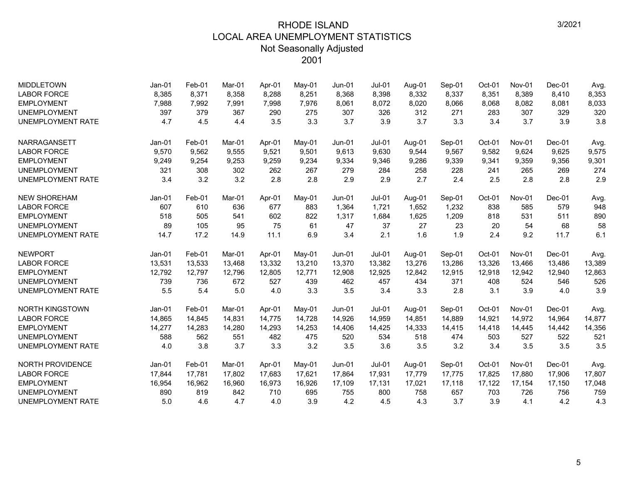| <b>MIDDLETOWN</b>        | Jan-01   | Feb-01 | Mar-01 | Apr-01 | May-01   | $Jun-01$ | $Jul-01$      | Aug-01 | Sep-01 | Oct-01 | <b>Nov-01</b> | $Dec-01$ | Avg.   |
|--------------------------|----------|--------|--------|--------|----------|----------|---------------|--------|--------|--------|---------------|----------|--------|
| <b>LABOR FORCE</b>       | 8,385    | 8,371  | 8,358  | 8,288  | 8,251    | 8,368    | 8,398         | 8,332  | 8,337  | 8,351  | 8,389         | 8,410    | 8,353  |
| <b>EMPLOYMENT</b>        | 7,988    | 7,992  | 7,991  | 7,998  | 7,976    | 8,061    | 8,072         | 8,020  | 8,066  | 8,068  | 8,082         | 8,081    | 8,033  |
| <b>UNEMPLOYMENT</b>      | 397      | 379    | 367    | 290    | 275      | 307      | 326           | 312    | 271    | 283    | 307           | 329      | 320    |
| <b>UNEMPLOYMENT RATE</b> | 4.7      | 4.5    | 4.4    | 3.5    | 3.3      | 3.7      | 3.9           | 3.7    | 3.3    | 3.4    | 3.7           | 3.9      | 3.8    |
| NARRAGANSETT             | Jan-01   | Feb-01 | Mar-01 | Apr-01 | $Mav-01$ | $Jun-01$ | <b>Jul-01</b> | Aug-01 | Sep-01 | Oct-01 | Nov-01        | Dec-01   | Avg.   |
| <b>LABOR FORCE</b>       | 9,570    | 9,562  | 9,555  | 9,521  | 9,501    | 9,613    | 9.630         | 9,544  | 9,567  | 9,582  | 9,624         | 9,625    | 9,575  |
| <b>EMPLOYMENT</b>        | 9,249    | 9,254  | 9,253  | 9,259  | 9,234    | 9,334    | 9,346         | 9,286  | 9,339  | 9,341  | 9,359         | 9,356    | 9,301  |
| <b>UNEMPLOYMENT</b>      | 321      | 308    | 302    | 262    | 267      | 279      | 284           | 258    | 228    | 241    | 265           | 269      | 274    |
| <b>UNEMPLOYMENT RATE</b> | 3.4      | 3.2    | 3.2    | 2.8    | 2.8      | 2.9      | 2.9           | 2.7    | 2.4    | 2.5    | 2.8           | 2.8      | 2.9    |
| <b>NEW SHOREHAM</b>      | $Jan-01$ | Feb-01 | Mar-01 | Apr-01 | May-01   | $Jun-01$ | $Jul-01$      | Aug-01 | Sep-01 | Oct-01 | Nov-01        | $Dec-01$ | Avg.   |
| <b>LABOR FORCE</b>       | 607      | 610    | 636    | 677    | 883      | 1,364    | 1,721         | 1,652  | 1,232  | 838    | 585           | 579      | 948    |
| <b>EMPLOYMENT</b>        | 518      | 505    | 541    | 602    | 822      | 1,317    | 1,684         | 1,625  | 1,209  | 818    | 531           | 511      | 890    |
| <b>UNEMPLOYMENT</b>      | 89       | 105    | 95     | 75     | 61       | 47       | 37            | 27     | 23     | 20     | 54            | 68       | 58     |
| <b>UNEMPLOYMENT RATE</b> | 14.7     | 17.2   | 14.9   | 11.1   | 6.9      | 3.4      | 2.1           | 1.6    | 1.9    | 2.4    | 9.2           | 11.7     | 6.1    |
| <b>NEWPORT</b>           | $Jan-01$ | Feb-01 | Mar-01 | Apr-01 | May-01   | $Jun-01$ | $Jul-01$      | Aug-01 | Sep-01 | Oct-01 | Nov-01        | $Dec-01$ | Avg.   |
| <b>LABOR FORCE</b>       | 13,531   | 13,533 | 13,468 | 13,332 | 13,210   | 13,370   | 13,382        | 13,276 | 13,286 | 13,326 | 13,466        | 13,486   | 13,389 |
| <b>EMPLOYMENT</b>        | 12,792   | 12,797 | 12,796 | 12,805 | 12,771   | 12,908   | 12,925        | 12,842 | 12,915 | 12,918 | 12,942        | 12,940   | 12,863 |
| <b>UNEMPLOYMENT</b>      | 739      | 736    | 672    | 527    | 439      | 462      | 457           | 434    | 371    | 408    | 524           | 546      | 526    |
| <b>UNEMPLOYMENT RATE</b> | 5.5      | 5.4    | 5.0    | 4.0    | 3.3      | 3.5      | 3.4           | 3.3    | 2.8    | 3.1    | 3.9           | 4.0      | 3.9    |
| <b>NORTH KINGSTOWN</b>   | $Jan-01$ | Feb-01 | Mar-01 | Apr-01 | May-01   | $Jun-01$ | $Jul-01$      | Aug-01 | Sep-01 | Oct-01 | Nov-01        | $Dec-01$ | Avg.   |
| <b>LABOR FORCE</b>       | 14,865   | 14,845 | 14,831 | 14,775 | 14,728   | 14,926   | 14,959        | 14,851 | 14,889 | 14,921 | 14,972        | 14,964   | 14,877 |
| <b>EMPLOYMENT</b>        | 14,277   | 14,283 | 14.280 | 14,293 | 14,253   | 14,406   | 14,425        | 14,333 | 14,415 | 14,418 | 14.445        | 14,442   | 14,356 |
| <b>UNEMPLOYMENT</b>      | 588      | 562    | 551    | 482    | 475      | 520      | 534           | 518    | 474    | 503    | 527           | 522      | 521    |
| <b>UNEMPLOYMENT RATE</b> | 4.0      | 3.8    | 3.7    | 3.3    | 3.2      | 3.5      | 3.6           | 3.5    | 3.2    | 3.4    | 3.5           | 3.5      | 3.5    |
| <b>NORTH PROVIDENCE</b>  | $Jan-01$ | Feb-01 | Mar-01 | Apr-01 | May-01   | $Jun-01$ | $Jul-01$      | Aug-01 | Sep-01 | Oct-01 | Nov-01        | Dec-01   | Avg.   |
| <b>LABOR FORCE</b>       | 17,844   | 17,781 | 17,802 | 17,683 | 17,621   | 17,864   | 17,931        | 17,779 | 17,775 | 17,825 | 17,880        | 17,906   | 17,807 |
| <b>EMPLOYMENT</b>        | 16,954   | 16,962 | 16,960 | 16,973 | 16,926   | 17,109   | 17,131        | 17,021 | 17,118 | 17,122 | 17,154        | 17,150   | 17,048 |
| <b>UNEMPLOYMENT</b>      | 890      | 819    | 842    | 710    | 695      | 755      | 800           | 758    | 657    | 703    | 726           | 756      | 759    |
| <b>UNEMPLOYMENT RATE</b> | 5.0      | 4.6    | 4.7    | 4.0    | 3.9      | 4.2      | 4.5           | 4.3    | 3.7    | 3.9    | 4.1           | 4.2      | 4.3    |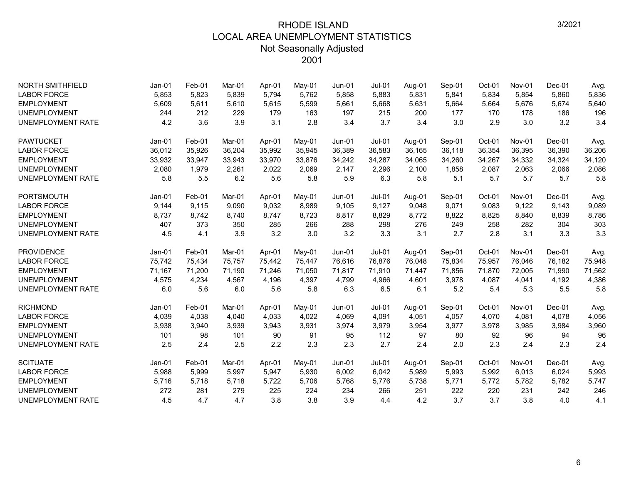| <b>NORTH SMITHFIELD</b>  | Jan-01   | Feb-01 | Mar-01 | Apr-01 | May-01 | Jun-01   | <b>Jul-01</b> | Aug-01 | Sep-01 | Oct-01 | Nov-01 | $Dec-01$ | Avg.   |
|--------------------------|----------|--------|--------|--------|--------|----------|---------------|--------|--------|--------|--------|----------|--------|
| <b>LABOR FORCE</b>       | 5,853    | 5,823  | 5.839  | 5.794  | 5,762  | 5.858    | 5,883         | 5,831  | 5,841  | 5,834  | 5.854  | 5,860    | 5,836  |
| <b>EMPLOYMENT</b>        | 5,609    | 5,611  | 5,610  | 5,615  | 5,599  | 5,661    | 5,668         | 5,631  | 5,664  | 5,664  | 5,676  | 5,674    | 5,640  |
| <b>UNEMPLOYMENT</b>      | 244      | 212    | 229    | 179    | 163    | 197      | 215           | 200    | 177    | 170    | 178    | 186      | 196    |
| <b>UNEMPLOYMENT RATE</b> | 4.2      | 3.6    | 3.9    | 3.1    | 2.8    | 3.4      | 3.7           | 3.4    | 3.0    | 2.9    | 3.0    | 3.2      | 3.4    |
| <b>PAWTUCKET</b>         | $Jan-01$ | Feb-01 | Mar-01 | Apr-01 | May-01 | $Jun-01$ | $Jul-01$      | Aug-01 | Sep-01 | Oct-01 | Nov-01 | $Dec-01$ | Avg.   |
| <b>LABOR FORCE</b>       | 36,012   | 35,926 | 36,204 | 35,992 | 35,945 | 36,389   | 36,583        | 36,165 | 36,118 | 36,354 | 36,395 | 36,390   | 36,206 |
| <b>EMPLOYMENT</b>        | 33,932   | 33,947 | 33,943 | 33,970 | 33,876 | 34,242   | 34,287        | 34,065 | 34,260 | 34,267 | 34,332 | 34,324   | 34,120 |
| <b>UNEMPLOYMENT</b>      | 2,080    | 1,979  | 2,261  | 2,022  | 2,069  | 2,147    | 2,296         | 2,100  | 1,858  | 2,087  | 2,063  | 2,066    | 2,086  |
| <b>UNEMPLOYMENT RATE</b> | 5.8      | 5.5    | 6.2    | 5.6    | 5.8    | 5.9      | 6.3           | 5.8    | 5.1    | 5.7    | 5.7    | 5.7      | 5.8    |
| <b>PORTSMOUTH</b>        | $Jan-01$ | Feb-01 | Mar-01 | Apr-01 | May-01 | $Jun-01$ | $Jul-01$      | Aug-01 | Sep-01 | Oct-01 | Nov-01 | $Dec-01$ | Avg.   |
| <b>LABOR FORCE</b>       | 9,144    | 9,115  | 9,090  | 9,032  | 8,989  | 9,105    | 9,127         | 9,048  | 9,071  | 9,083  | 9,122  | 9,143    | 9,089  |
| <b>EMPLOYMENT</b>        | 8,737    | 8,742  | 8,740  | 8,747  | 8,723  | 8,817    | 8,829         | 8,772  | 8,822  | 8,825  | 8,840  | 8,839    | 8,786  |
| <b>UNEMPLOYMENT</b>      | 407      | 373    | 350    | 285    | 266    | 288      | 298           | 276    | 249    | 258    | 282    | 304      | 303    |
| <b>UNEMPLOYMENT RATE</b> | 4.5      | 4.1    | 3.9    | 3.2    | 3.0    | 3.2      | 3.3           | 3.1    | 2.7    | 2.8    | 3.1    | 3.3      | 3.3    |
| <b>PROVIDENCE</b>        | $Jan-01$ | Feb-01 | Mar-01 | Apr-01 | May-01 | $Jun-01$ | $Jul-01$      | Aug-01 | Sep-01 | Oct-01 | Nov-01 | Dec-01   | Avg.   |
| <b>LABOR FORCE</b>       | 75,742   | 75,434 | 75,757 | 75,442 | 75,447 | 76,616   | 76,876        | 76,048 | 75,834 | 75,957 | 76,046 | 76,182   | 75,948 |
| <b>EMPLOYMENT</b>        | 71,167   | 71,200 | 71.190 | 71,246 | 71,050 | 71,817   | 71.910        | 71,447 | 71,856 | 71,870 | 72.005 | 71,990   | 71,562 |
| <b>UNEMPLOYMENT</b>      | 4,575    | 4,234  | 4,567  | 4,196  | 4,397  | 4,799    | 4,966         | 4,601  | 3,978  | 4,087  | 4,041  | 4,192    | 4,386  |
| <b>UNEMPLOYMENT RATE</b> | 6.0      | 5.6    | 6.0    | 5.6    | 5.8    | 6.3      | 6.5           | 6.1    | 5.2    | 5.4    | 5.3    | 5.5      | 5.8    |
| <b>RICHMOND</b>          | $Jan-01$ | Feb-01 | Mar-01 | Apr-01 | May-01 | $Jun-01$ | $Jul-01$      | Aug-01 | Sep-01 | Oct-01 | Nov-01 | Dec-01   | Avg.   |
| <b>LABOR FORCE</b>       | 4,039    | 4,038  | 4.040  | 4,033  | 4,022  | 4,069    | 4,091         | 4,051  | 4,057  | 4,070  | 4,081  | 4,078    | 4,056  |
| <b>EMPLOYMENT</b>        | 3,938    | 3,940  | 3,939  | 3,943  | 3,931  | 3,974    | 3,979         | 3,954  | 3,977  | 3,978  | 3,985  | 3,984    | 3,960  |
| <b>UNEMPLOYMENT</b>      | 101      | 98     | 101    | 90     | 91     | 95       | 112           | 97     | 80     | 92     | 96     | 94       | 96     |
| <b>UNEMPLOYMENT RATE</b> | 2.5      | 2.4    | 2.5    | 2.2    | 2.3    | 2.3      | 2.7           | 2.4    | 2.0    | 2.3    | 2.4    | 2.3      | 2.4    |
| <b>SCITUATE</b>          | $Jan-01$ | Feb-01 | Mar-01 | Apr-01 | May-01 | $Jun-01$ | $Jul-01$      | Aug-01 | Sep-01 | Oct-01 | Nov-01 | $Dec-01$ | Avg.   |
| <b>LABOR FORCE</b>       | 5,988    | 5,999  | 5,997  | 5,947  | 5,930  | 6,002    | 6,042         | 5,989  | 5,993  | 5,992  | 6,013  | 6,024    | 5,993  |
| <b>EMPLOYMENT</b>        | 5,716    | 5,718  | 5,718  | 5,722  | 5,706  | 5,768    | 5,776         | 5,738  | 5,771  | 5,772  | 5,782  | 5,782    | 5,747  |
| <b>UNEMPLOYMENT</b>      | 272      | 281    | 279    | 225    | 224    | 234      | 266           | 251    | 222    | 220    | 231    | 242      | 246    |
| <b>UNEMPLOYMENT RATE</b> | 4.5      | 4.7    | 4.7    | 3.8    | 3.8    | 3.9      | 4.4           | 4.2    | 3.7    | 3.7    | 3.8    | 4.0      | 4.1    |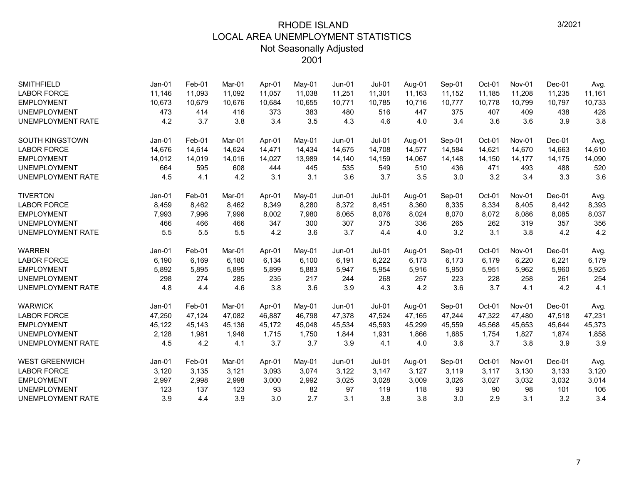| <b>SMITHFIELD</b>        | Jan-01   | Feb-01 | Mar-01 | Apr-01 | May-01 | $Jun-01$ | $Jul-01$      | Aug-01 | Sep-01 | Oct-01 | <b>Nov-01</b> | $Dec-01$ | Avg.   |
|--------------------------|----------|--------|--------|--------|--------|----------|---------------|--------|--------|--------|---------------|----------|--------|
| <b>LABOR FORCE</b>       | 11,146   | 11,093 | 11.092 | 11,057 | 11,038 | 11,251   | 11,301        | 11,163 | 11,152 | 11,185 | 11,208        | 11,235   | 11,161 |
| <b>EMPLOYMENT</b>        | 10,673   | 10,679 | 10,676 | 10,684 | 10,655 | 10,771   | 10,785        | 10.716 | 10,777 | 10,778 | 10,799        | 10.797   | 10,733 |
| <b>UNEMPLOYMENT</b>      | 473      | 414    | 416    | 373    | 383    | 480      | 516           | 447    | 375    | 407    | 409           | 438      | 428    |
| <b>UNEMPLOYMENT RATE</b> | 4.2      | 3.7    | 3.8    | 3.4    | 3.5    | 4.3      | 4.6           | 4.0    | 3.4    | 3.6    | 3.6           | 3.9      | 3.8    |
| <b>SOUTH KINGSTOWN</b>   | $Jan-01$ | Feb-01 | Mar-01 | Apr-01 | May-01 | $Jun-01$ | $Jul-01$      | Aug-01 | Sep-01 | Oct-01 | Nov-01        | $Dec-01$ | Avg.   |
| <b>LABOR FORCE</b>       | 14,676   | 14,614 | 14,624 | 14,471 | 14,434 | 14,675   | 14,708        | 14,577 | 14,584 | 14,621 | 14,670        | 14,663   | 14,610 |
| <b>EMPLOYMENT</b>        | 14,012   | 14,019 | 14,016 | 14,027 | 13,989 | 14,140   | 14,159        | 14,067 | 14,148 | 14,150 | 14,177        | 14,175   | 14,090 |
| <b>UNEMPLOYMENT</b>      | 664      | 595    | 608    | 444    | 445    | 535      | 549           | 510    | 436    | 471    | 493           | 488      | 520    |
| <b>UNEMPLOYMENT RATE</b> | 4.5      | 4.1    | 4.2    | 3.1    | 3.1    | 3.6      | 3.7           | 3.5    | 3.0    | 3.2    | 3.4           | 3.3      | 3.6    |
| <b>TIVERTON</b>          | Jan-01   | Feb-01 | Mar-01 | Apr-01 | May-01 | $Jun-01$ | <b>Jul-01</b> | Aug-01 | Sep-01 | Oct-01 | Nov-01        | Dec-01   | Avg.   |
| <b>LABOR FORCE</b>       | 8,459    | 8,462  | 8,462  | 8,349  | 8,280  | 8,372    | 8,451         | 8,360  | 8,335  | 8,334  | 8,405         | 8,442    | 8,393  |
| <b>EMPLOYMENT</b>        | 7,993    | 7,996  | 7,996  | 8,002  | 7,980  | 8,065    | 8,076         | 8,024  | 8,070  | 8,072  | 8,086         | 8,085    | 8,037  |
| <b>UNEMPLOYMENT</b>      | 466      | 466    | 466    | 347    | 300    | 307      | 375           | 336    | 265    | 262    | 319           | 357      | 356    |
| <b>UNEMPLOYMENT RATE</b> | 5.5      | 5.5    | 5.5    | 4.2    | 3.6    | 3.7      | 4.4           | 4.0    | 3.2    | 3.1    | 3.8           | 4.2      | 4.2    |
| <b>WARREN</b>            | $Jan-01$ | Feb-01 | Mar-01 | Apr-01 | May-01 | $Jun-01$ | $Jul-01$      | Aug-01 | Sep-01 | Oct-01 | Nov-01        | $Dec-01$ | Avg.   |
| <b>LABOR FORCE</b>       | 6,190    | 6,169  | 6,180  | 6,134  | 6,100  | 6,191    | 6,222         | 6,173  | 6,173  | 6,179  | 6,220         | 6,221    | 6,179  |
| <b>EMPLOYMENT</b>        | 5,892    | 5,895  | 5,895  | 5,899  | 5,883  | 5,947    | 5,954         | 5,916  | 5,950  | 5,951  | 5,962         | 5,960    | 5,925  |
| <b>UNEMPLOYMENT</b>      | 298      | 274    | 285    | 235    | 217    | 244      | 268           | 257    | 223    | 228    | 258           | 261      | 254    |
| <b>UNEMPLOYMENT RATE</b> | 4.8      | 4.4    | 4.6    | 3.8    | 3.6    | 3.9      | 4.3           | 4.2    | 3.6    | 3.7    | 4.1           | 4.2      | 4.1    |
| <b>WARWICK</b>           | $Jan-01$ | Feb-01 | Mar-01 | Apr-01 | May-01 | $Jun-01$ | $Jul-01$      | Aug-01 | Sep-01 | Oct-01 | Nov-01        | $Dec-01$ | Avg.   |
| <b>LABOR FORCE</b>       | 47,250   | 47,124 | 47.082 | 46.887 | 46,798 | 47,378   | 47,524        | 47,165 | 47,244 | 47,322 | 47,480        | 47,518   | 47,231 |
| <b>EMPLOYMENT</b>        | 45,122   | 45.143 | 45.136 | 45.172 | 45,048 | 45,534   | 45,593        | 45,299 | 45,559 | 45,568 | 45,653        | 45,644   | 45,373 |
| <b>UNEMPLOYMENT</b>      | 2,128    | 1,981  | 1,946  | 1,715  | 1,750  | 1,844    | 1,931         | 1,866  | 1,685  | 1,754  | 1,827         | 1,874    | 1,858  |
| <b>UNEMPLOYMENT RATE</b> | 4.5      | 4.2    | 4.1    | 3.7    | 3.7    | 3.9      | 4.1           | 4.0    | 3.6    | 3.7    | 3.8           | 3.9      | 3.9    |
| <b>WEST GREENWICH</b>    | $Jan-01$ | Feb-01 | Mar-01 | Apr-01 | May-01 | $Jun-01$ | $Jul-01$      | Aug-01 | Sep-01 | Oct-01 | Nov-01        | $Dec-01$ | Avg.   |
| <b>LABOR FORCE</b>       | 3,120    | 3,135  | 3,121  | 3,093  | 3,074  | 3,122    | 3,147         | 3,127  | 3,119  | 3,117  | 3,130         | 3,133    | 3,120  |
| <b>EMPLOYMENT</b>        | 2,997    | 2,998  | 2,998  | 3,000  | 2,992  | 3,025    | 3,028         | 3,009  | 3,026  | 3,027  | 3,032         | 3,032    | 3,014  |
| <b>UNEMPLOYMENT</b>      | 123      | 137    | 123    | 93     | 82     | 97       | 119           | 118    | 93     | 90     | 98            | 101      | 106    |
| <b>UNEMPLOYMENT RATE</b> | 3.9      | 4.4    | 3.9    | 3.0    | 2.7    | 3.1      | 3.8           | 3.8    | 3.0    | 2.9    | 3.1           | 3.2      | 3.4    |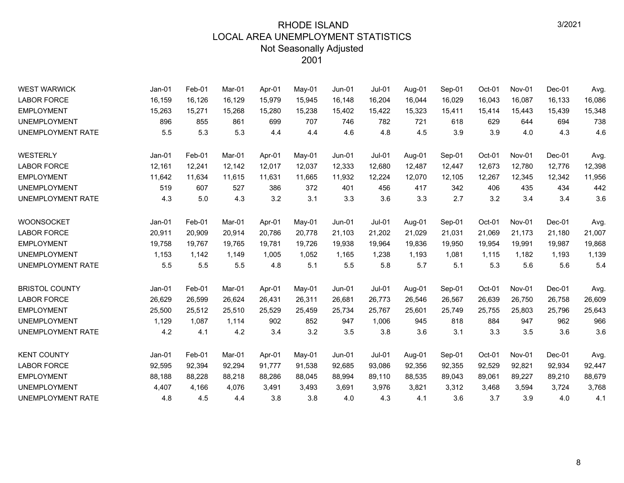| <b>WEST WARWICK</b>      | Jan-01   | Feb-01 | Mar-01 | Apr-01 | May-01 | $Jun-01$      | $Jul-01$ | Aug-01 | Sep-01 | Oct-01 | Nov-01        | Dec-01   | Avg.   |
|--------------------------|----------|--------|--------|--------|--------|---------------|----------|--------|--------|--------|---------------|----------|--------|
| <b>LABOR FORCE</b>       | 16,159   | 16,126 | 16,129 | 15,979 | 15,945 | 16,148        | 16,204   | 16,044 | 16,029 | 16,043 | 16,087        | 16,133   | 16,086 |
| <b>EMPLOYMENT</b>        | 15,263   | 15,271 | 15,268 | 15,280 | 15,238 | 15,402        | 15,422   | 15,323 | 15,411 | 15,414 | 15,443        | 15,439   | 15,348 |
| <b>UNEMPLOYMENT</b>      | 896      | 855    | 861    | 699    | 707    | 746           | 782      | 721    | 618    | 629    | 644           | 694      | 738    |
| UNEMPLOYMENT RATE        | 5.5      | 5.3    | 5.3    | 4.4    | 4.4    | 4.6           | 4.8      | 4.5    | 3.9    | 3.9    | 4.0           | 4.3      | 4.6    |
| <b>WESTERLY</b>          | $Jan-01$ | Feb-01 | Mar-01 | Apr-01 | May-01 | $Jun-01$      | $Jul-01$ | Aug-01 | Sep-01 | Oct-01 | Nov-01        | Dec-01   | Avg.   |
| <b>LABOR FORCE</b>       | 12,161   | 12,241 | 12,142 | 12,017 | 12,037 | 12,333        | 12,680   | 12,487 | 12,447 | 12,673 | 12,780        | 12,776   | 12,398 |
| <b>EMPLOYMENT</b>        | 11,642   | 11,634 | 11,615 | 11,631 | 11,665 | 11,932        | 12,224   | 12,070 | 12,105 | 12,267 | 12,345        | 12,342   | 11,956 |
| <b>UNEMPLOYMENT</b>      | 519      | 607    | 527    | 386    | 372    | 401           | 456      | 417    | 342    | 406    | 435           | 434      | 442    |
| UNEMPLOYMENT RATE        | 4.3      | 5.0    | 4.3    | 3.2    | 3.1    | 3.3           | 3.6      | 3.3    | 2.7    | 3.2    | 3.4           | 3.4      | 3.6    |
| <b>WOONSOCKET</b>        | Jan-01   | Feb-01 | Mar-01 | Apr-01 | May-01 | Jun-01        | $Jul-01$ | Aug-01 | Sep-01 | Oct-01 | <b>Nov-01</b> | Dec-01   | Avg.   |
| <b>LABOR FORCE</b>       | 20,911   | 20,909 | 20,914 | 20,786 | 20,778 | 21,103        | 21,202   | 21,029 | 21,031 | 21,069 | 21,173        | 21,180   | 21,007 |
| <b>EMPLOYMENT</b>        | 19,758   | 19,767 | 19.765 | 19,781 | 19,726 | 19,938        | 19,964   | 19,836 | 19,950 | 19,954 | 19,991        | 19,987   | 19,868 |
| <b>UNEMPLOYMENT</b>      | 1,153    | 1,142  | 1,149  | 1,005  | 1,052  | 1,165         | 1,238    | 1,193  | 1,081  | 1,115  | 1,182         | 1,193    | 1,139  |
| UNEMPLOYMENT RATE        | 5.5      | 5.5    | 5.5    | 4.8    | 5.1    | 5.5           | 5.8      | 5.7    | 5.1    | 5.3    | 5.6           | 5.6      | 5.4    |
| <b>BRISTOL COUNTY</b>    | $Jan-01$ | Feb-01 | Mar-01 | Apr-01 | May-01 | <b>Jun-01</b> | $Jul-01$ | Aug-01 | Sep-01 | Oct-01 | <b>Nov-01</b> | $Dec-01$ | Avg.   |
| <b>LABOR FORCE</b>       | 26,629   | 26,599 | 26,624 | 26,431 | 26,311 | 26,681        | 26,773   | 26,546 | 26,567 | 26,639 | 26,750        | 26,758   | 26,609 |
| <b>EMPLOYMENT</b>        | 25,500   | 25,512 | 25,510 | 25,529 | 25,459 | 25,734        | 25,767   | 25,601 | 25,749 | 25,755 | 25,803        | 25,796   | 25,643 |
| <b>UNEMPLOYMENT</b>      | 1,129    | 1,087  | 1,114  | 902    | 852    | 947           | 1,006    | 945    | 818    | 884    | 947           | 962      | 966    |
| <b>UNEMPLOYMENT RATE</b> | 4.2      | 4.1    | 4.2    | 3.4    | 3.2    | 3.5           | 3.8      | 3.6    | 3.1    | 3.3    | 3.5           | 3.6      | 3.6    |
| <b>KENT COUNTY</b>       | $Jan-01$ | Feb-01 | Mar-01 | Apr-01 | May-01 | $Jun-01$      | $Jul-01$ | Aug-01 | Sep-01 | Oct-01 | <b>Nov-01</b> | Dec-01   | Avg.   |
| <b>LABOR FORCE</b>       | 92,595   | 92,394 | 92,294 | 91,777 | 91,538 | 92,685        | 93,086   | 92,356 | 92,355 | 92,529 | 92,821        | 92,934   | 92,447 |
| <b>EMPLOYMENT</b>        | 88,188   | 88,228 | 88,218 | 88,286 | 88,045 | 88,994        | 89,110   | 88,535 | 89,043 | 89,061 | 89,227        | 89,210   | 88,679 |
| <b>UNEMPLOYMENT</b>      | 4,407    | 4,166  | 4,076  | 3,491  | 3,493  | 3,691         | 3,976    | 3,821  | 3,312  | 3,468  | 3,594         | 3,724    | 3,768  |
| <b>UNEMPLOYMENT RATE</b> | 4.8      | 4.5    | 4.4    | 3.8    | 3.8    | 4.0           | 4.3      | 4.1    | 3.6    | 3.7    | 3.9           | 4.0      | 4.1    |